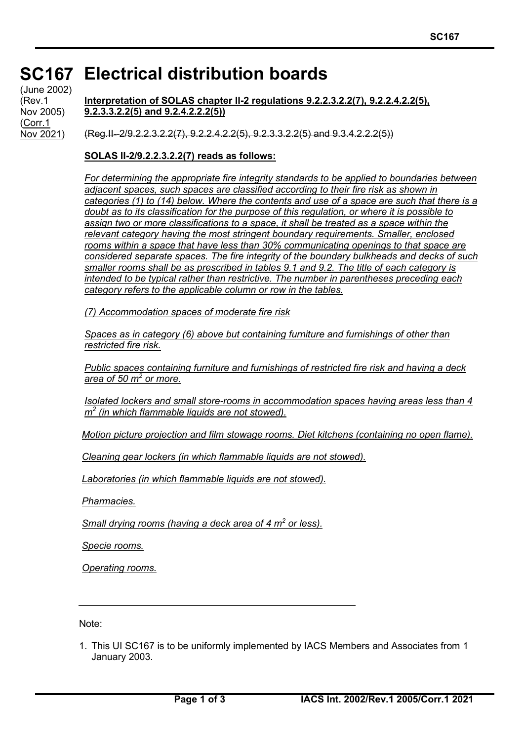## **SC167 Electrical distribution boards SC167**

(June 2002) (Rev.1 Nov 2005) (Corr.1 Nov 2021)

**Interpretation of SOLAS chapter II-2 regulations 9.2.2.3.2.2(7), 9.2.2.4.2.2(5), 9.2.3.3.2.2(5) and 9.2.4.2.2.2(5))**

 $($ Reg.II- $-2/9.2.2.3.2.2(7)$ ,  $9.2.2.4.2.2(5)$ ,  $9.2.3.3.2.2(5)$  and  $9.3.4.2.2.2(5)$ )

**SOLAS II-2/9.2.2.3.2.2(7) reads as follows:**

*For determining the appropriate fire integrity standards to be applied to boundaries between adjacent spaces, such spaces are classified according to their fire risk as shown in categories (1) to (14) below. Where the contents and use of a space are such that there is a doubt as to its classification for the purpose of this regulation, or where it is possible to assign two or more classifications to a space, it shall be treated as a space within the relevant category having the most stringent boundary requirements. Smaller, enclosed rooms within a space that have less than 30% communicating openings to that space are considered separate spaces. The fire integrity of the boundary bulkheads and decks of such smaller rooms shall be as prescribed in tables 9.1 and 9.2. The title of each category is intended to be typical rather than restrictive. The number in parentheses preceding each category refers to the applicable column or row in the tables.*

*(7) Accommodation spaces of moderate fire risk* 

*Spaces as in category (6) above but containing furniture and furnishings of other than restricted fire risk.* 

*Public spaces containing furniture and furnishings of restricted fire risk and having a deck area of 50 m<sup>2</sup> or more.* 

*Isolated lockers and small store-rooms in accommodation spaces having areas less than 4 m<sup>2</sup> (in which flammable liquids are not stowed).* 

*Motion picture projection and film stowage rooms. Diet kitchens (containing no open flame).* 

*Cleaning gear lockers (in which flammable liquids are not stowed).*

*Laboratories (in which flammable liquids are not stowed).*

*Pharmacies.*

*Small drying rooms (having a deck area of 4 m<sup>2</sup> or less).* 

*Specie rooms.*

*Operating rooms.*

Note:

1. This UI SC167 is to be uniformly implemented by IACS Members and Associates from 1 January 2003.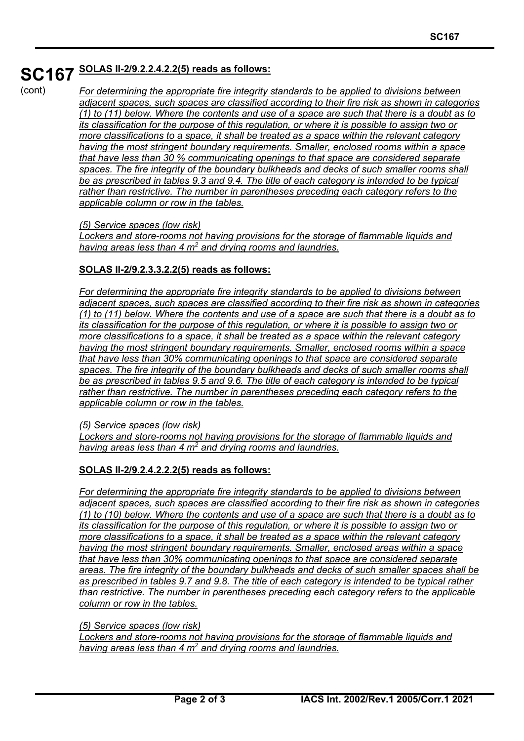# **SC167 SOLAS II-2/9.2.2.4.2.2(5) reads as follows:**

## (cont)

*For determining the appropriate fire integrity standards to be applied to divisions between adjacent spaces, such spaces are classified according to their fire risk as shown in categories (1) to (11) below. Where the contents and use of a space are such that there is a doubt as to its classification for the purpose of this regulation, or where it is possible to assign two or more classifications to a space, it shall be treated as a space within the relevant category having the most stringent boundary requirements. Smaller, enclosed rooms within a space that have less than 30 % communicating openings to that space are considered separate spaces. The fire integrity of the boundary bulkheads and decks of such smaller rooms shall be as prescribed in tables 9.3 and 9.4. The title of each category is intended to be typical rather than restrictive. The number in parentheses preceding each category refers to the applicable column or row in the tables.*

#### *(5) Service spaces (low risk)*

*Lockers and store-rooms not having provisions for the storage of flammable liquids and having areas less than 4 m<sup>2</sup> and drying rooms and laundries.* 

## **SOLAS II-2/9.2.3.3.2.2(5) reads as follows:**

*For determining the appropriate fire integrity standards to be applied to divisions between adjacent spaces, such spaces are classified according to their fire risk as shown in categories (1) to (11) below. Where the contents and use of a space are such that there is a doubt as to its classification for the purpose of this regulation, or where it is possible to assign two or more classifications to a space, it shall be treated as a space within the relevant category having the most stringent boundary requirements. Smaller, enclosed rooms within a space that have less than 30% communicating openings to that space are considered separate spaces. The fire integrity of the boundary bulkheads and decks of such smaller rooms shall be as prescribed in tables 9.5 and 9.6. The title of each category is intended to be typical rather than restrictive. The number in parentheses preceding each category refers to the applicable column or row in the tables.*

#### *(5) Service spaces (low risk)*

*Lockers and store-rooms not having provisions for the storage of flammable liquids and having areas less than 4 m<sup>2</sup> and drying rooms and laundries.*

### **SOLAS II-2/9.2.4.2.2.2(5) reads as follows:**

*For determining the appropriate fire integrity standards to be applied to divisions between adjacent spaces, such spaces are classified according to their fire risk as shown in categories (1) to (10) below. Where the contents and use of a space are such that there is a doubt as to its classification for the purpose of this regulation, or where it is possible to assign two or more classifications to a space, it shall be treated as a space within the relevant category having the most stringent boundary requirements. Smaller, enclosed areas within a space that have less than 30% communicating openings to that space are considered separate areas. The fire integrity of the boundary bulkheads and decks of such smaller spaces shall be as prescribed in tables 9.7 and 9.8. The title of each category is intended to be typical rather than restrictive. The number in parentheses preceding each category refers to the applicable column or row in the tables.*

### *(5) Service spaces (low risk)*

*Lockers and store-rooms not having provisions for the storage of flammable liquids and having areas less than 4 m<sup>2</sup> and drying rooms and laundries.*